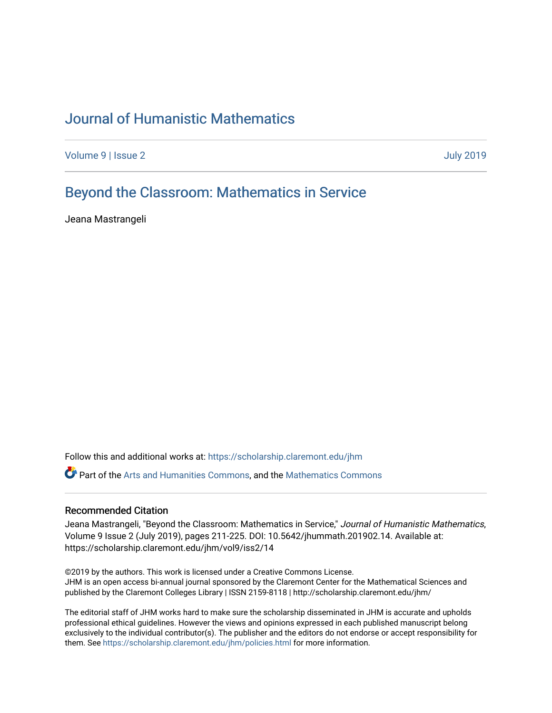# [Journal of Humanistic Mathematics](https://scholarship.claremont.edu/jhm)

[Volume 9](https://scholarship.claremont.edu/jhm/vol9) | [Issue 2](https://scholarship.claremont.edu/jhm/vol9/iss2) [July 2019](https://scholarship.claremont.edu/jhm/vol9/iss2) 

# [Beyond the Classroom: Mathematics in Service](https://scholarship.claremont.edu/jhm/vol9/iss2/14)

Jeana Mastrangeli

Follow this and additional works at: [https://scholarship.claremont.edu/jhm](https://scholarship.claremont.edu/jhm?utm_source=scholarship.claremont.edu%2Fjhm%2Fvol9%2Fiss2%2F14&utm_medium=PDF&utm_campaign=PDFCoverPages)

Part of the [Arts and Humanities Commons,](http://network.bepress.com/hgg/discipline/438?utm_source=scholarship.claremont.edu%2Fjhm%2Fvol9%2Fiss2%2F14&utm_medium=PDF&utm_campaign=PDFCoverPages) and the [Mathematics Commons](http://network.bepress.com/hgg/discipline/174?utm_source=scholarship.claremont.edu%2Fjhm%2Fvol9%2Fiss2%2F14&utm_medium=PDF&utm_campaign=PDFCoverPages) 

#### Recommended Citation

Jeana Mastrangeli, "Beyond the Classroom: Mathematics in Service," Journal of Humanistic Mathematics, Volume 9 Issue 2 (July 2019), pages 211-225. DOI: 10.5642/jhummath.201902.14. Available at: https://scholarship.claremont.edu/jhm/vol9/iss2/14

©2019 by the authors. This work is licensed under a Creative Commons License. JHM is an open access bi-annual journal sponsored by the Claremont Center for the Mathematical Sciences and published by the Claremont Colleges Library | ISSN 2159-8118 | http://scholarship.claremont.edu/jhm/

The editorial staff of JHM works hard to make sure the scholarship disseminated in JHM is accurate and upholds professional ethical guidelines. However the views and opinions expressed in each published manuscript belong exclusively to the individual contributor(s). The publisher and the editors do not endorse or accept responsibility for them. See<https://scholarship.claremont.edu/jhm/policies.html> for more information.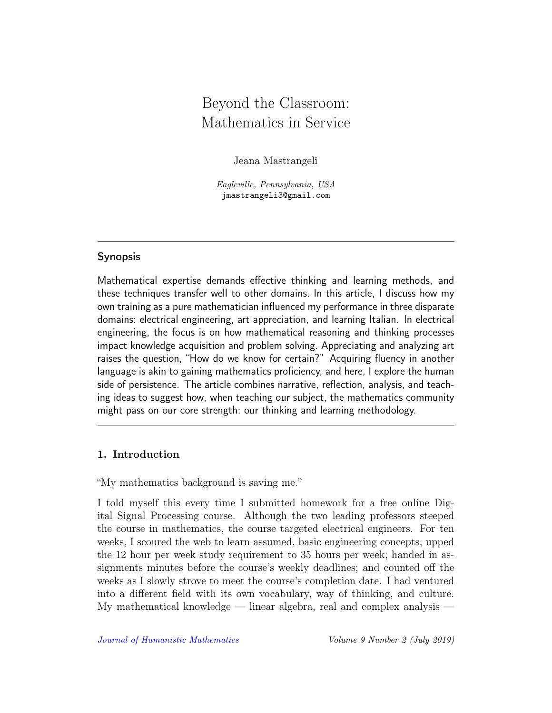# Beyond the Classroom: Mathematics in Service

Jeana Mastrangeli

Eagleville, Pennsylvania, USA jmastrangeli3@gmail.com

### Synopsis

Mathematical expertise demands effective thinking and learning methods, and these techniques transfer well to other domains. In this article, I discuss how my own training as a pure mathematician influenced my performance in three disparate domains: electrical engineering, art appreciation, and learning Italian. In electrical engineering, the focus is on how mathematical reasoning and thinking processes impact knowledge acquisition and problem solving. Appreciating and analyzing art raises the question, "How do we know for certain?" Acquiring fluency in another language is akin to gaining mathematics proficiency, and here, I explore the human side of persistence. The article combines narrative, reflection, analysis, and teaching ideas to suggest how, when teaching our subject, the mathematics community might pass on our core strength: our thinking and learning methodology.

#### 1. Introduction

"My mathematics background is saving me."

I told myself this every time I submitted homework for a free online Digital Signal Processing course. Although the two leading professors steeped the course in mathematics, the course targeted electrical engineers. For ten weeks, I scoured the web to learn assumed, basic engineering concepts; upped the 12 hour per week study requirement to 35 hours per week; handed in assignments minutes before the course's weekly deadlines; and counted off the weeks as I slowly strove to meet the course's completion date. I had ventured into a different field with its own vocabulary, way of thinking, and culture. My mathematical knowledge — linear algebra, real and complex analysis —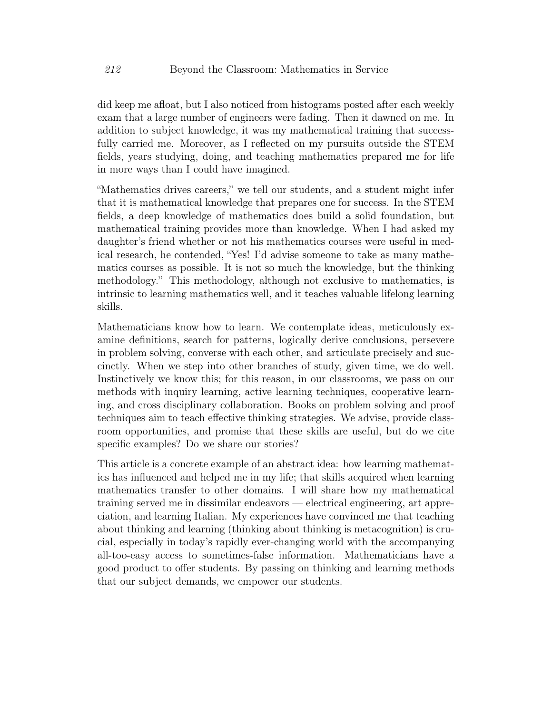did keep me afloat, but I also noticed from histograms posted after each weekly exam that a large number of engineers were fading. Then it dawned on me. In addition to subject knowledge, it was my mathematical training that successfully carried me. Moreover, as I reflected on my pursuits outside the STEM fields, years studying, doing, and teaching mathematics prepared me for life in more ways than I could have imagined.

"Mathematics drives careers," we tell our students, and a student might infer that it is mathematical knowledge that prepares one for success. In the STEM fields, a deep knowledge of mathematics does build a solid foundation, but mathematical training provides more than knowledge. When I had asked my daughter's friend whether or not his mathematics courses were useful in medical research, he contended, "Yes! I'd advise someone to take as many mathematics courses as possible. It is not so much the knowledge, but the thinking methodology." This methodology, although not exclusive to mathematics, is intrinsic to learning mathematics well, and it teaches valuable lifelong learning skills.

Mathematicians know how to learn. We contemplate ideas, meticulously examine definitions, search for patterns, logically derive conclusions, persevere in problem solving, converse with each other, and articulate precisely and succinctly. When we step into other branches of study, given time, we do well. Instinctively we know this; for this reason, in our classrooms, we pass on our methods with inquiry learning, active learning techniques, cooperative learning, and cross disciplinary collaboration. Books on problem solving and proof techniques aim to teach effective thinking strategies. We advise, provide classroom opportunities, and promise that these skills are useful, but do we cite specific examples? Do we share our stories?

<span id="page-2-0"></span>This article is a concrete example of an abstract idea: how learning mathematics has influenced and helped me in my life; that skills acquired when learning mathematics transfer to other domains. I will share how my mathematical training served me in dissimilar endeavors — electrical engineering, art appreciation, and learning Italian. My experiences have convinced me that teaching about thinking and learning (thinking about thinking is metacognition) is crucial, especially in today's rapidly ever-changing world with the accompanying all-too-easy access to sometimes-false information. Mathematicians have a good product to offer students. By passing on thinking and learning methods that our subject demands, we empower our students.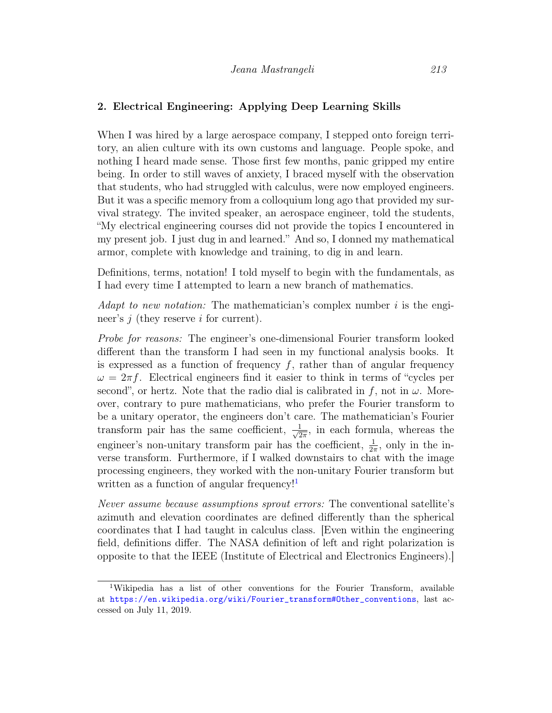#### 2. Electrical Engineering: Applying Deep Learning Skills

When I was hired by a large aerospace company, I stepped onto foreign territory, an alien culture with its own customs and language. People spoke, and nothing I heard made sense. Those first few months, panic gripped my entire being. In order to still waves of anxiety, I braced myself with the observation that students, who had struggled with calculus, were now employed engineers. But it was a specific memory from a colloquium long ago that provided my survival strategy. The invited speaker, an aerospace engineer, told the students, "My electrical engineering courses did not provide the topics I encountered in my present job. I just dug in and learned." And so, I donned my mathematical armor, complete with knowledge and training, to dig in and learn.

Definitions, terms, notation! I told myself to begin with the fundamentals, as I had every time I attempted to learn a new branch of mathematics.

Adapt to new notation: The mathematician's complex number  $i$  is the engineer's  $j$  (they reserve i for current).

Probe for reasons: The engineer's one-dimensional Fourier transform looked different than the transform I had seen in my functional analysis books. It is expressed as a function of frequency  $f$ , rather than of angular frequency  $\omega = 2\pi f$ . Electrical engineers find it easier to think in terms of "cycles per second", or hertz. Note that the radio dial is calibrated in f, not in  $\omega$ . Moreover, contrary to pure mathematicians, who prefer the Fourier transform to be a unitary operator, the engineers don't care. The mathematician's Fourier transform pair has the same coefficient,  $\frac{1}{\sqrt{2}}$  $\frac{1}{2\pi}$ , in each formula, whereas the engineer's non-unitary transform pair has the coefficient,  $\frac{1}{2\pi}$ , only in the inverse transform. Furthermore, if I walked downstairs to chat with the image processing engineers, they worked with the non-unitary Fourier transform but written as a function of angular frequency! $\mathbf{I}$ 

Never assume because assumptions sprout errors: The conventional satellite's azimuth and elevation coordinates are defined differently than the spherical coordinates that I had taught in calculus class. [Even within the engineering field, definitions differ. The NASA definition of left and right polarization is opposite to that the IEEE (Institute of Electrical and Electronics Engineers).]

<span id="page-3-0"></span><sup>1</sup>Wikipedia has a list of other conventions for the Fourier Transform, available at [https://en.wikipedia.org/wiki/Fourier\\_transform#Other\\_conventions](https://en.wikipedia.org/wiki/Fourier_transform#Other_conventions), last accessed on July 11, 2019.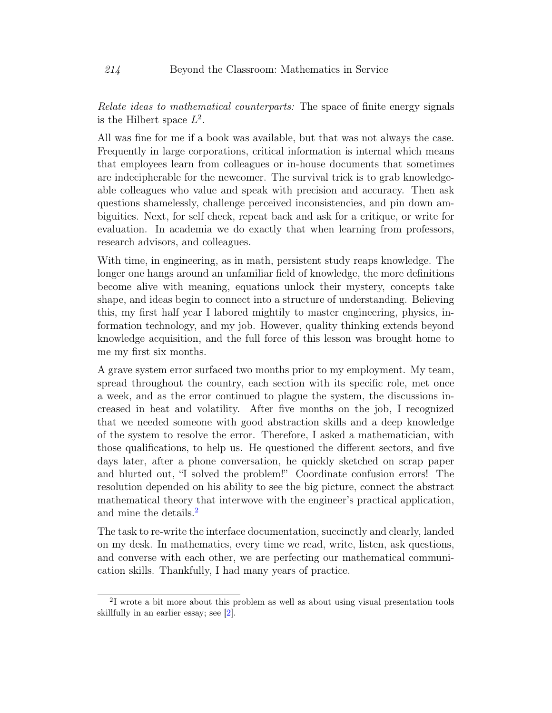Relate ideas to mathematical counterparts: The space of finite energy signals is the Hilbert space  $L^2$ .

All was fine for me if a book was available, but that was not always the case. Frequently in large corporations, critical information is internal which means that employees learn from colleagues or in-house documents that sometimes are indecipherable for the newcomer. The survival trick is to grab knowledgeable colleagues who value and speak with precision and accuracy. Then ask questions shamelessly, challenge perceived inconsistencies, and pin down ambiguities. Next, for self check, repeat back and ask for a critique, or write for evaluation. In academia we do exactly that when learning from professors, research advisors, and colleagues.

With time, in engineering, as in math, persistent study reaps knowledge. The longer one hangs around an unfamiliar field of knowledge, the more definitions become alive with meaning, equations unlock their mystery, concepts take shape, and ideas begin to connect into a structure of understanding. Believing this, my first half year I labored mightily to master engineering, physics, information technology, and my job. However, quality thinking extends beyond knowledge acquisition, and the full force of this lesson was brought home to me my first six months.

A grave system error surfaced two months prior to my employment. My team, spread throughout the country, each section with its specific role, met once a week, and as the error continued to plague the system, the discussions increased in heat and volatility. After five months on the job, I recognized that we needed someone with good abstraction skills and a deep knowledge of the system to resolve the error. Therefore, I asked a mathematician, with those qualifications, to help us. He questioned the different sectors, and five days later, after a phone conversation, he quickly sketched on scrap paper and blurted out, "I solved the problem!" Coordinate confusion errors! The resolution depended on his ability to see the big picture, connect the abstract mathematical theory that interwove with the engineer's practical application, and mine the details.<sup>[2](#page-4-0)</sup>

The task to re-write the interface documentation, succinctly and clearly, landed on my desk. In mathematics, every time we read, write, listen, ask questions, and converse with each other, we are perfecting our mathematical communication skills. Thankfully, I had many years of practice.

<span id="page-4-0"></span><sup>2</sup> I wrote a bit more about this problem as well as about using visual presentation tools skillfully in an earlier essay; see [\[2\]](#page-15-0).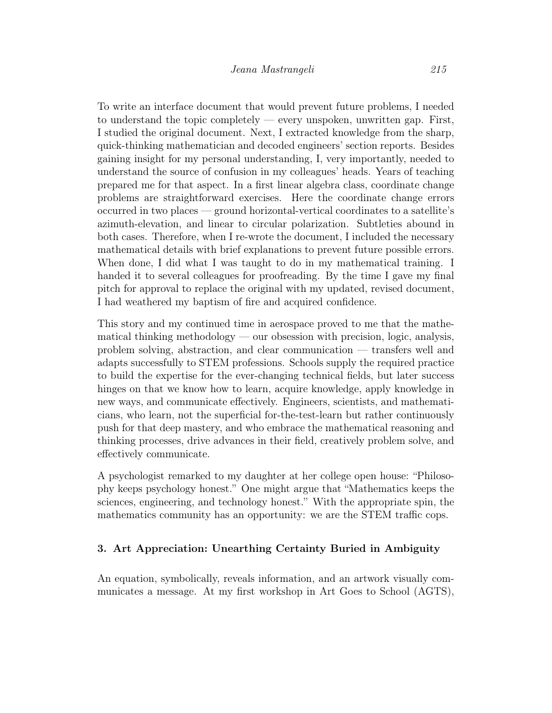To write an interface document that would prevent future problems, I needed to understand the topic completely — every unspoken, unwritten gap. First, I studied the original document. Next, I extracted knowledge from the sharp, quick-thinking mathematician and decoded engineers' section reports. Besides gaining insight for my personal understanding, I, very importantly, needed to understand the source of confusion in my colleagues' heads. Years of teaching prepared me for that aspect. In a first linear algebra class, coordinate change problems are straightforward exercises. Here the coordinate change errors occurred in two places — ground horizontal-vertical coordinates to a satellite's azimuth-elevation, and linear to circular polarization. Subtleties abound in both cases. Therefore, when I re-wrote the document, I included the necessary mathematical details with brief explanations to prevent future possible errors. When done, I did what I was taught to do in my mathematical training. I handed it to several colleagues for proofreading. By the time I gave my final pitch for approval to replace the original with my updated, revised document, I had weathered my baptism of fire and acquired confidence.

This story and my continued time in aerospace proved to me that the mathematical thinking methodology — our obsession with precision, logic, analysis, problem solving, abstraction, and clear communication — transfers well and adapts successfully to STEM professions. Schools supply the required practice to build the expertise for the ever-changing technical fields, but later success hinges on that we know how to learn, acquire knowledge, apply knowledge in new ways, and communicate effectively. Engineers, scientists, and mathematicians, who learn, not the superficial for-the-test-learn but rather continuously push for that deep mastery, and who embrace the mathematical reasoning and thinking processes, drive advances in their field, creatively problem solve, and effectively communicate.

A psychologist remarked to my daughter at her college open house: "Philosophy keeps psychology honest." One might argue that "Mathematics keeps the sciences, engineering, and technology honest." With the appropriate spin, the mathematics community has an opportunity: we are the STEM traffic cops.

#### 3. Art Appreciation: Unearthing Certainty Buried in Ambiguity

An equation, symbolically, reveals information, and an artwork visually communicates a message. At my first workshop in Art Goes to School (AGTS),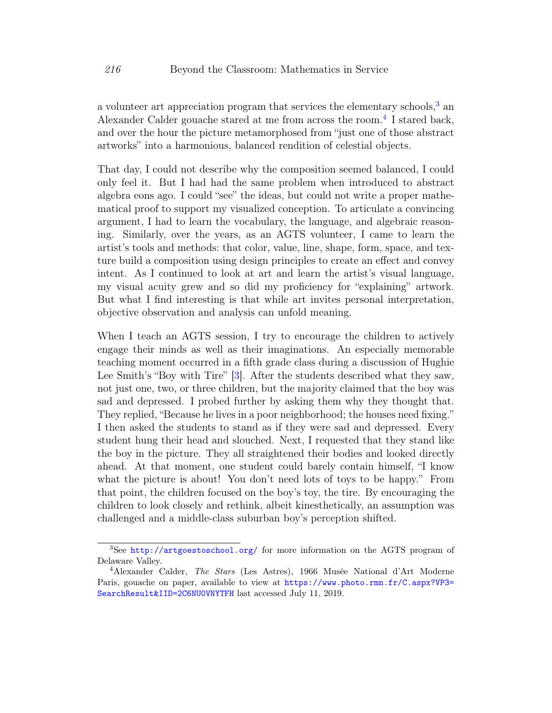a volunteer art appreciation program that services the elementary schools,  $3$  an Alexander Calder gouache stared at me from across the room.<sup>[4](#page-6-1)</sup> I stared back, and over the hour the picture metamorphosed from "just one of those abstract artworks" into a harmonious, balanced rendition of celestial objects.

That day, I could not describe why the composition seemed balanced, I could only feel it. But I had had the same problem when introduced to abstract algebra eons ago. I could "see" the ideas, but could not write a proper mathematical proof to support my visualized conception. To articulate a convincing argument, I had to learn the vocabulary, the language, and algebraic reasoning. Similarly, over the years, as an AGTS volunteer, I came to learn the artist's tools and methods: that color, value, line, shape, form, space, and texture build a composition using design principles to create an effect and convey intent. As I continued to look at art and learn the artist's visual language, my visual acuity grew and so did my proficiency for "explaining" artwork. But what I find interesting is that while art invites personal interpretation, objective observation and analysis can unfold meaning.

When I teach an AGTS session, I try to encourage the children to actively engage their minds as well as their imaginations. An especially memorable teaching moment occurred in a fifth grade class during a discussion of Hughie Lee Smith's "Boy with Tire" [\[3\]](#page-15-1). After the students described what they saw, not just one, two, or three children, but the majority claimed that the boy was sad and depressed. I probed further by asking them why they thought that. They replied, "Because he lives in a poor neighborhood; the houses need fixing." I then asked the students to stand as if they were sad and depressed. Every student hung their head and slouched. Next, I requested that they stand like the boy in the picture. They all straightened their bodies and looked directly ahead. At that moment, one student could barely contain himself, "I know what the picture is about! You don't need lots of toys to be happy." From that point, the children focused on the boy's toy, the tire. By encouraging the children to look closely and rethink, albeit kinesthetically, an assumption was challenged and a middle-class suburban boy's perception shifted.

<span id="page-6-0"></span><sup>3</sup>See <http://artgoestoschool.org/> for more information on the AGTS program of Delaware Valley.

<span id="page-6-1"></span><sup>4</sup>Alexander Calder, The Stars (Les Astres), 1966 Musée National d'Art Moderne Paris, gouache on paper, available to view at [https://www.photo.rmn.fr/C.aspx?VP3=](https://www.photo.rmn.fr/C.aspx?VP3=SearchResult&IID=2C6NU0VNYTFH) [SearchResult&IID=2C6NU0VNYTFH](https://www.photo.rmn.fr/C.aspx?VP3=SearchResult&IID=2C6NU0VNYTFH) last accessed July 11, 2019.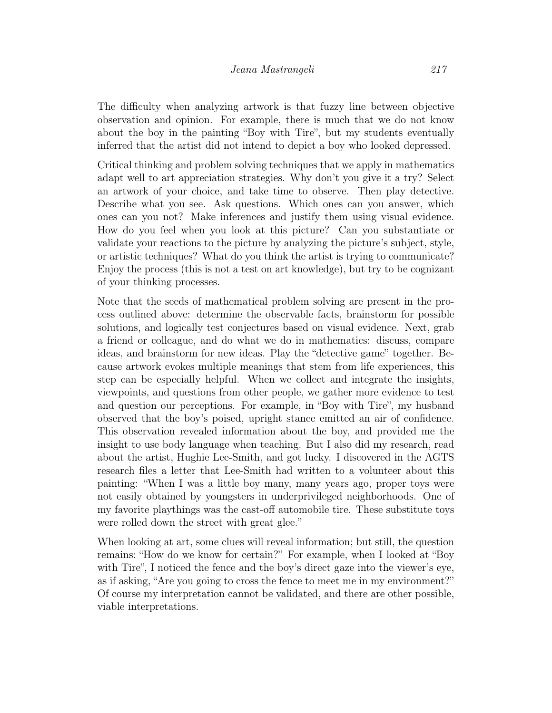The difficulty when analyzing artwork is that fuzzy line between objective observation and opinion. For example, there is much that we do not know about the boy in the painting "Boy with Tire", but my students eventually inferred that the artist did not intend to depict a boy who looked depressed.

Critical thinking and problem solving techniques that we apply in mathematics adapt well to art appreciation strategies. Why don't you give it a try? Select an artwork of your choice, and take time to observe. Then play detective. Describe what you see. Ask questions. Which ones can you answer, which ones can you not? Make inferences and justify them using visual evidence. How do you feel when you look at this picture? Can you substantiate or validate your reactions to the picture by analyzing the picture's subject, style, or artistic techniques? What do you think the artist is trying to communicate? Enjoy the process (this is not a test on art knowledge), but try to be cognizant of your thinking processes.

Note that the seeds of mathematical problem solving are present in the process outlined above: determine the observable facts, brainstorm for possible solutions, and logically test conjectures based on visual evidence. Next, grab a friend or colleague, and do what we do in mathematics: discuss, compare ideas, and brainstorm for new ideas. Play the "detective game" together. Because artwork evokes multiple meanings that stem from life experiences, this step can be especially helpful. When we collect and integrate the insights, viewpoints, and questions from other people, we gather more evidence to test and question our perceptions. For example, in "Boy with Tire", my husband observed that the boy's poised, upright stance emitted an air of confidence. This observation revealed information about the boy, and provided me the insight to use body language when teaching. But I also did my research, read about the artist, Hughie Lee-Smith, and got lucky. I discovered in the AGTS research files a letter that Lee-Smith had written to a volunteer about this painting: "When I was a little boy many, many years ago, proper toys were not easily obtained by youngsters in underprivileged neighborhoods. One of my favorite playthings was the cast-off automobile tire. These substitute toys were rolled down the street with great glee."

When looking at art, some clues will reveal information; but still, the question remains: "How do we know for certain?" For example, when I looked at "Boy with Tire", I noticed the fence and the boy's direct gaze into the viewer's eye, as if asking, "Are you going to cross the fence to meet me in my environment?" Of course my interpretation cannot be validated, and there are other possible, viable interpretations.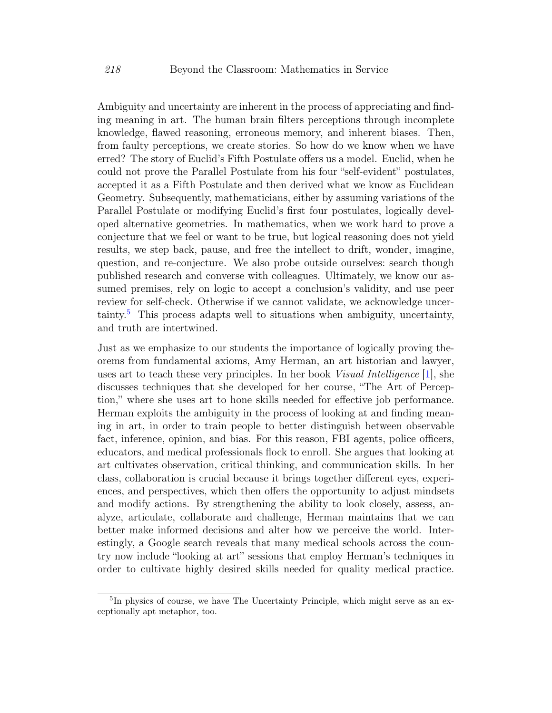Ambiguity and uncertainty are inherent in the process of appreciating and finding meaning in art. The human brain filters perceptions through incomplete knowledge, flawed reasoning, erroneous memory, and inherent biases. Then, from faulty perceptions, we create stories. So how do we know when we have erred? The story of Euclid's Fifth Postulate offers us a model. Euclid, when he could not prove the Parallel Postulate from his four "self-evident" postulates, accepted it as a Fifth Postulate and then derived what we know as Euclidean Geometry. Subsequently, mathematicians, either by assuming variations of the Parallel Postulate or modifying Euclid's first four postulates, logically developed alternative geometries. In mathematics, when we work hard to prove a conjecture that we feel or want to be true, but logical reasoning does not yield results, we step back, pause, and free the intellect to drift, wonder, imagine, question, and re-conjecture. We also probe outside ourselves: search though published research and converse with colleagues. Ultimately, we know our assumed premises, rely on logic to accept a conclusion's validity, and use peer review for self-check. Otherwise if we cannot validate, we acknowledge uncer- $\text{tainty.}^5$  $\text{tainty.}^5$  This process adapts well to situations when ambiguity, uncertainty, and truth are intertwined.

Just as we emphasize to our students the importance of logically proving theorems from fundamental axioms, Amy Herman, an art historian and lawyer, uses art to teach these very principles. In her book *Visual Intelligence* [\[1\]](#page-15-2), she discusses techniques that she developed for her course, "The Art of Perception," where she uses art to hone skills needed for effective job performance. Herman exploits the ambiguity in the process of looking at and finding meaning in art, in order to train people to better distinguish between observable fact, inference, opinion, and bias. For this reason, FBI agents, police officers, educators, and medical professionals flock to enroll. She argues that looking at art cultivates observation, critical thinking, and communication skills. In her class, collaboration is crucial because it brings together different eyes, experiences, and perspectives, which then offers the opportunity to adjust mindsets and modify actions. By strengthening the ability to look closely, assess, analyze, articulate, collaborate and challenge, Herman maintains that we can better make informed decisions and alter how we perceive the world. Interestingly, a Google search reveals that many medical schools across the country now include "looking at art" sessions that employ Herman's techniques in order to cultivate highly desired skills needed for quality medical practice.

<span id="page-8-0"></span><sup>&</sup>lt;sup>5</sup>In physics of course, we have The Uncertainty Principle, which might serve as an exceptionally apt metaphor, too.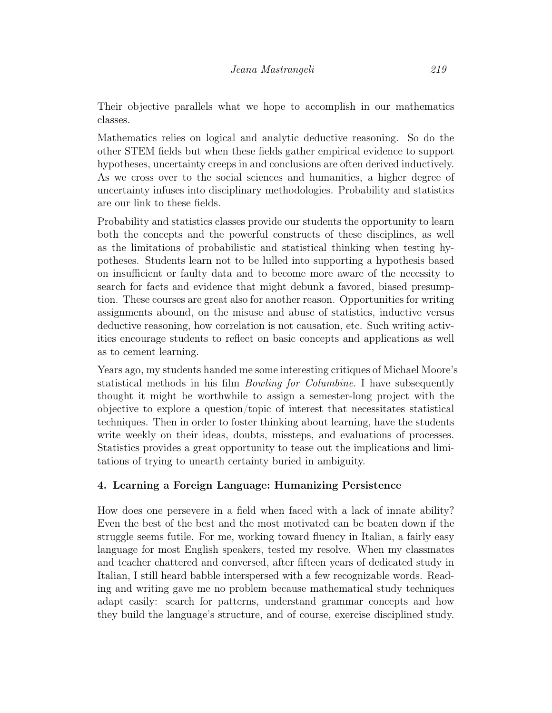Mathematics relies on logical and analytic deductive reasoning. So do the other STEM fields but when these fields gather empirical evidence to support hypotheses, uncertainty creeps in and conclusions are often derived inductively. As we cross over to the social sciences and humanities, a higher degree of uncertainty infuses into disciplinary methodologies. Probability and statistics are our link to these fields.

Probability and statistics classes provide our students the opportunity to learn both the concepts and the powerful constructs of these disciplines, as well as the limitations of probabilistic and statistical thinking when testing hypotheses. Students learn not to be lulled into supporting a hypothesis based on insufficient or faulty data and to become more aware of the necessity to search for facts and evidence that might debunk a favored, biased presumption. These courses are great also for another reason. Opportunities for writing assignments abound, on the misuse and abuse of statistics, inductive versus deductive reasoning, how correlation is not causation, etc. Such writing activities encourage students to reflect on basic concepts and applications as well as to cement learning.

Years ago, my students handed me some interesting critiques of Michael Moore's statistical methods in his film Bowling for Columbine. I have subsequently thought it might be worthwhile to assign a semester-long project with the objective to explore a question/topic of interest that necessitates statistical techniques. Then in order to foster thinking about learning, have the students write weekly on their ideas, doubts, missteps, and evaluations of processes. Statistics provides a great opportunity to tease out the implications and limitations of trying to unearth certainty buried in ambiguity.

## 4. Learning a Foreign Language: Humanizing Persistence

How does one persevere in a field when faced with a lack of innate ability? Even the best of the best and the most motivated can be beaten down if the struggle seems futile. For me, working toward fluency in Italian, a fairly easy language for most English speakers, tested my resolve. When my classmates and teacher chattered and conversed, after fifteen years of dedicated study in Italian, I still heard babble interspersed with a few recognizable words. Reading and writing gave me no problem because mathematical study techniques adapt easily: search for patterns, understand grammar concepts and how they build the language's structure, and of course, exercise disciplined study.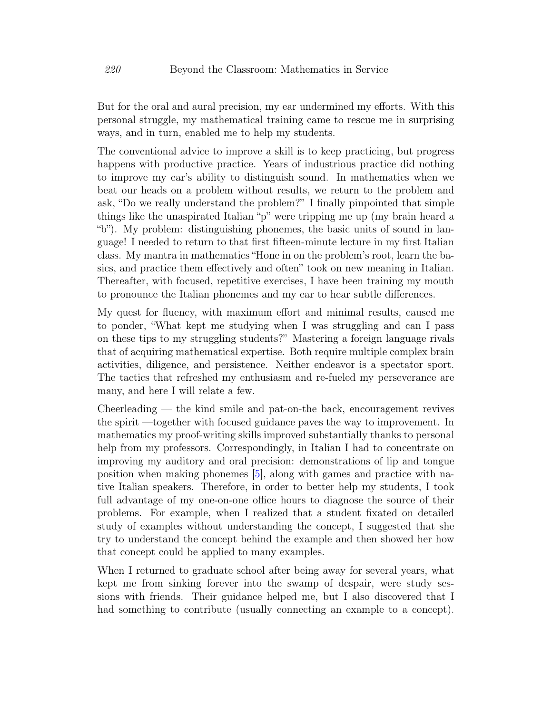But for the oral and aural precision, my ear undermined my efforts. With this personal struggle, my mathematical training came to rescue me in surprising ways, and in turn, enabled me to help my students.

The conventional advice to improve a skill is to keep practicing, but progress happens with productive practice. Years of industrious practice did nothing to improve my ear's ability to distinguish sound. In mathematics when we beat our heads on a problem without results, we return to the problem and ask, "Do we really understand the problem?" I finally pinpointed that simple things like the unaspirated Italian "p" were tripping me up (my brain heard a "b"). My problem: distinguishing phonemes, the basic units of sound in language! I needed to return to that first fifteen-minute lecture in my first Italian class. My mantra in mathematics "Hone in on the problem's root, learn the basics, and practice them effectively and often" took on new meaning in Italian. Thereafter, with focused, repetitive exercises, I have been training my mouth to pronounce the Italian phonemes and my ear to hear subtle differences.

My quest for fluency, with maximum effort and minimal results, caused me to ponder, "What kept me studying when I was struggling and can I pass on these tips to my struggling students?" Mastering a foreign language rivals that of acquiring mathematical expertise. Both require multiple complex brain activities, diligence, and persistence. Neither endeavor is a spectator sport. The tactics that refreshed my enthusiasm and re-fueled my perseverance are many, and here I will relate a few.

Cheerleading — the kind smile and pat-on-the back, encouragement revives the spirit —together with focused guidance paves the way to improvement. In mathematics my proof-writing skills improved substantially thanks to personal help from my professors. Correspondingly, in Italian I had to concentrate on improving my auditory and oral precision: demonstrations of lip and tongue position when making phonemes [\[5\]](#page-15-3), along with games and practice with native Italian speakers. Therefore, in order to better help my students, I took full advantage of my one-on-one office hours to diagnose the source of their problems. For example, when I realized that a student fixated on detailed study of examples without understanding the concept, I suggested that she try to understand the concept behind the example and then showed her how that concept could be applied to many examples.

When I returned to graduate school after being away for several years, what kept me from sinking forever into the swamp of despair, were study sessions with friends. Their guidance helped me, but I also discovered that I had something to contribute (usually connecting an example to a concept).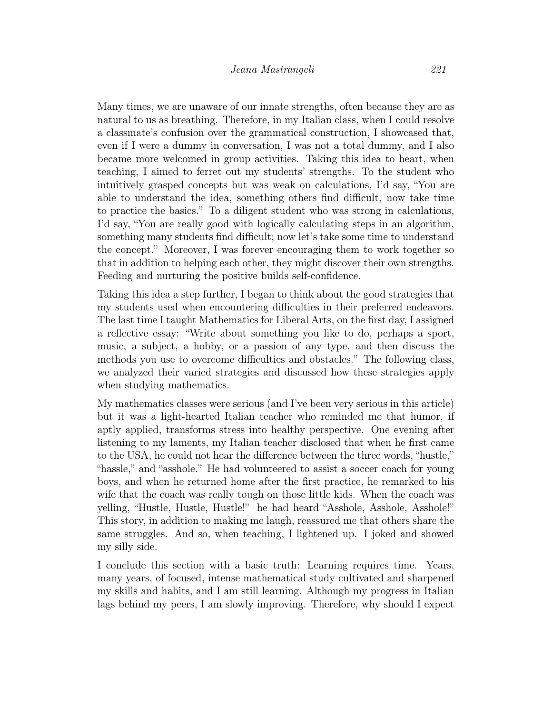Many times, we are unaware of our innate strengths, often because they are as natural to us as breathing. Therefore, in my Italian class, when I could resolve a classmate's confusion over the grammatical construction, I showcased that, even if I were a dummy in conversation, I was not a total dummy, and I also became more welcomed in group activities. Taking this idea to heart, when teaching, I aimed to ferret out my students' strengths. To the student who intuitively grasped concepts but was weak on calculations, I'd say, "You are able to understand the idea, something others find difficult, now take time to practice the basics." To a diligent student who was strong in calculations, I'd say, "You are really good with logically calculating steps in an algorithm, something many students find difficult; now let's take some time to understand the concept." Moreover, I was forever encouraging them to work together so that in addition to helping each other, they might discover their own strengths. Feeding and nurturing the positive builds self-confidence.

Taking this idea a step further, I began to think about the good strategies that my students used when encountering difficulties in their preferred endeavors. The last time I taught Mathematics for Liberal Arts, on the first day, I assigned a reflective essay: "Write about something you like to do, perhaps a sport, music, a subject, a hobby, or a passion of any type, and then discuss the methods you use to overcome difficulties and obstacles." The following class, we analyzed their varied strategies and discussed how these strategies apply when studying mathematics.

My mathematics classes were serious (and I've been very serious in this article) but it was a light-hearted Italian teacher who reminded me that humor, if aptly applied, transforms stress into healthy perspective. One evening after listening to my laments, my Italian teacher disclosed that when he first came to the USA, he could not hear the difference between the three words, "hustle," "hassle," and "asshole." He had volunteered to assist a soccer coach for young boys, and when he returned home after the first practice, he remarked to his wife that the coach was really tough on those little kids. When the coach was yelling, "Hustle, Hustle, Hustle!" he had heard "Asshole, Asshole, Asshole!" This story, in addition to making me laugh, reassured me that others share the same struggles. And so, when teaching, I lightened up. I joked and showed my silly side.

I conclude this section with a basic truth: Learning requires time. Years, many years, of focused, intense mathematical study cultivated and sharpened my skills and habits, and I am still learning. Although my progress in Italian lags behind my peers, I am slowly improving. Therefore, why should I expect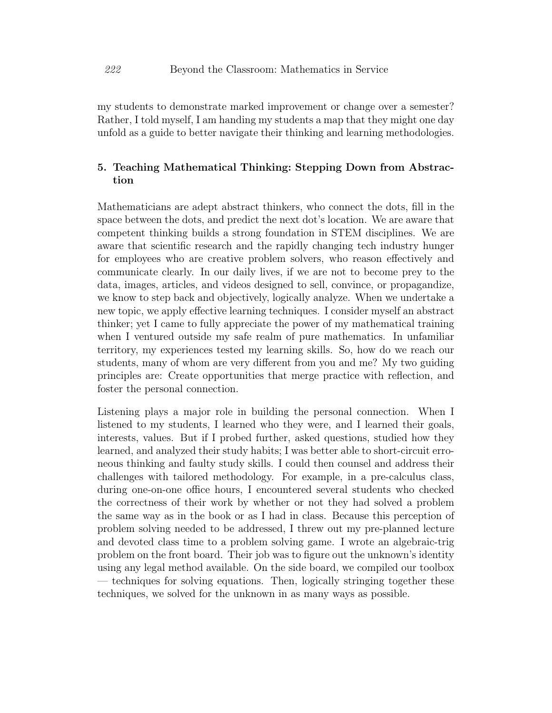my students to demonstrate marked improvement or change over a semester? Rather, I told myself, I am handing my students a map that they might one day unfold as a guide to better navigate their thinking and learning methodologies.

## 5. Teaching Mathematical Thinking: Stepping Down from Abstraction

Mathematicians are adept abstract thinkers, who connect the dots, fill in the space between the dots, and predict the next dot's location. We are aware that competent thinking builds a strong foundation in STEM disciplines. We are aware that scientific research and the rapidly changing tech industry hunger for employees who are creative problem solvers, who reason effectively and communicate clearly. In our daily lives, if we are not to become prey to the data, images, articles, and videos designed to sell, convince, or propagandize, we know to step back and objectively, logically analyze. When we undertake a new topic, we apply effective learning techniques. I consider myself an abstract thinker; yet I came to fully appreciate the power of my mathematical training when I ventured outside my safe realm of pure mathematics. In unfamiliar territory, my experiences tested my learning skills. So, how do we reach our students, many of whom are very different from you and me? My two guiding principles are: Create opportunities that merge practice with reflection, and foster the personal connection.

Listening plays a major role in building the personal connection. When I listened to my students, I learned who they were, and I learned their goals, interests, values. But if I probed further, asked questions, studied how they learned, and analyzed their study habits; I was better able to short-circuit erroneous thinking and faulty study skills. I could then counsel and address their challenges with tailored methodology. For example, in a pre-calculus class, during one-on-one office hours, I encountered several students who checked the correctness of their work by whether or not they had solved a problem the same way as in the book or as I had in class. Because this perception of problem solving needed to be addressed, I threw out my pre-planned lecture and devoted class time to a problem solving game. I wrote an algebraic-trig problem on the front board. Their job was to figure out the unknown's identity using any legal method available. On the side board, we compiled our toolbox — techniques for solving equations. Then, logically stringing together these techniques, we solved for the unknown in as many ways as possible.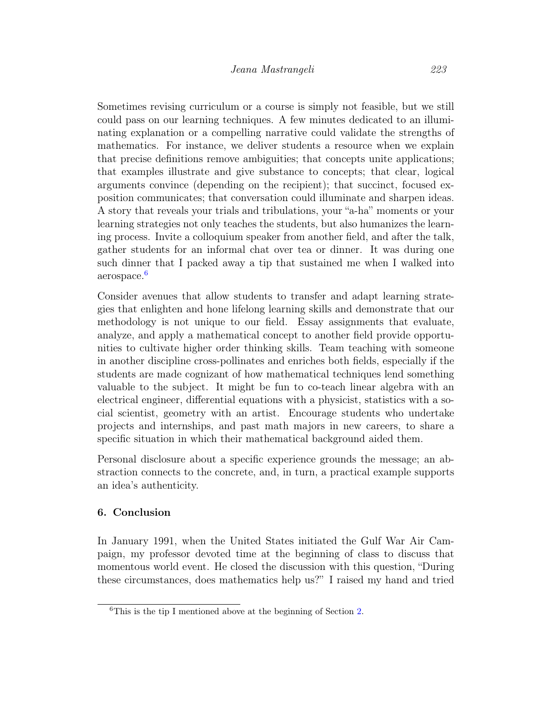Sometimes revising curriculum or a course is simply not feasible, but we still could pass on our learning techniques. A few minutes dedicated to an illuminating explanation or a compelling narrative could validate the strengths of mathematics. For instance, we deliver students a resource when we explain that precise definitions remove ambiguities; that concepts unite applications; that examples illustrate and give substance to concepts; that clear, logical arguments convince (depending on the recipient); that succinct, focused exposition communicates; that conversation could illuminate and sharpen ideas. A story that reveals your trials and tribulations, your "a-ha" moments or your learning strategies not only teaches the students, but also humanizes the learning process. Invite a colloquium speaker from another field, and after the talk, gather students for an informal chat over tea or dinner. It was during one such dinner that I packed away a tip that sustained me when I walked into aerospace.[6](#page-13-0)

Consider avenues that allow students to transfer and adapt learning strategies that enlighten and hone lifelong learning skills and demonstrate that our methodology is not unique to our field. Essay assignments that evaluate, analyze, and apply a mathematical concept to another field provide opportunities to cultivate higher order thinking skills. Team teaching with someone in another discipline cross-pollinates and enriches both fields, especially if the students are made cognizant of how mathematical techniques lend something valuable to the subject. It might be fun to co-teach linear algebra with an electrical engineer, differential equations with a physicist, statistics with a social scientist, geometry with an artist. Encourage students who undertake projects and internships, and past math majors in new careers, to share a specific situation in which their mathematical background aided them.

Personal disclosure about a specific experience grounds the message; an abstraction connects to the concrete, and, in turn, a practical example supports an idea's authenticity.

#### 6. Conclusion

In January 1991, when the United States initiated the Gulf War Air Campaign, my professor devoted time at the beginning of class to discuss that momentous world event. He closed the discussion with this question, "During these circumstances, does mathematics help us?" I raised my hand and tried

<span id="page-13-0"></span><sup>6</sup>This is the tip I mentioned above at the beginning of Section [2.](#page-2-0)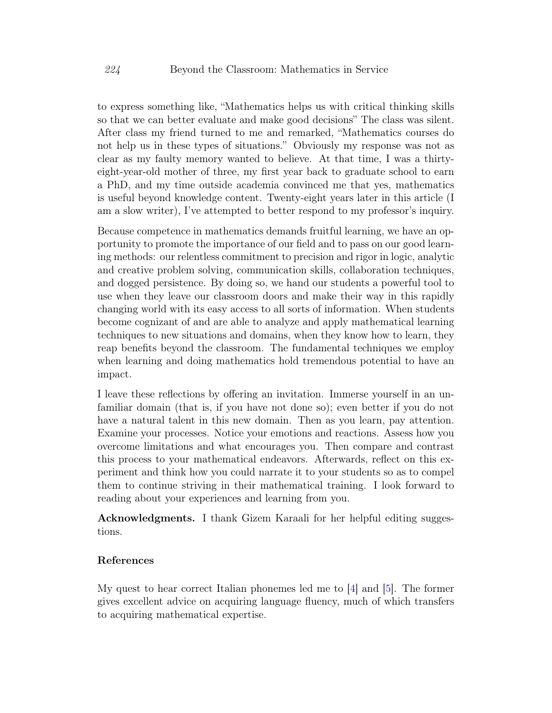to express something like, "Mathematics helps us with critical thinking skills so that we can better evaluate and make good decisions" The class was silent. After class my friend turned to me and remarked, "Mathematics courses do not help us in these types of situations." Obviously my response was not as clear as my faulty memory wanted to believe. At that time, I was a thirtyeight-year-old mother of three, my first year back to graduate school to earn a PhD, and my time outside academia convinced me that yes, mathematics is useful beyond knowledge content. Twenty-eight years later in this article (I am a slow writer), I've attempted to better respond to my professor's inquiry.

Because competence in mathematics demands fruitful learning, we have an opportunity to promote the importance of our field and to pass on our good learning methods: our relentless commitment to precision and rigor in logic, analytic and creative problem solving, communication skills, collaboration techniques, and dogged persistence. By doing so, we hand our students a powerful tool to use when they leave our classroom doors and make their way in this rapidly changing world with its easy access to all sorts of information. When students become cognizant of and are able to analyze and apply mathematical learning techniques to new situations and domains, when they know how to learn, they reap benefits beyond the classroom. The fundamental techniques we employ when learning and doing mathematics hold tremendous potential to have an impact.

I leave these reflections by offering an invitation. Immerse yourself in an unfamiliar domain (that is, if you have not done so); even better if you do not have a natural talent in this new domain. Then as you learn, pay attention. Examine your processes. Notice your emotions and reactions. Assess how you overcome limitations and what encourages you. Then compare and contrast this process to your mathematical endeavors. Afterwards, reflect on this experiment and think how you could narrate it to your students so as to compel them to continue striving in their mathematical training. I look forward to reading about your experiences and learning from you.

Acknowledgments. I thank Gizem Karaali for her helpful editing suggestions.

#### References

My quest to hear correct Italian phonemes led me to [\[4\]](#page-15-4) and [\[5\]](#page-15-3). The former gives excellent advice on acquiring language fluency, much of which transfers to acquiring mathematical expertise.